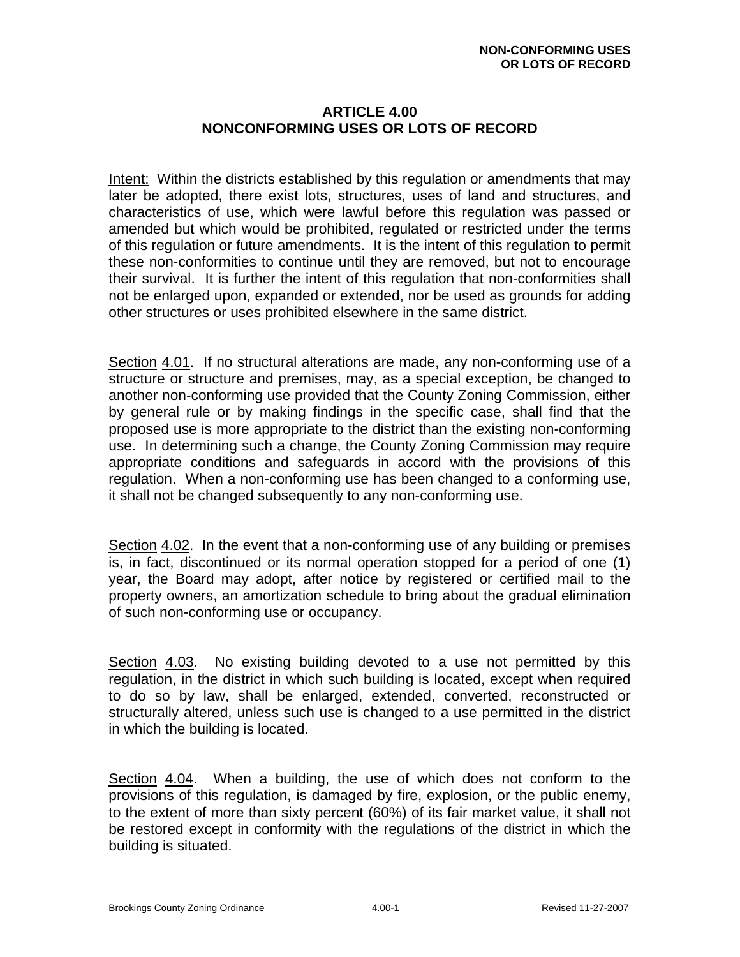## **ARTICLE 4.00 NONCONFORMING USES OR LOTS OF RECORD**

Intent: Within the districts established by this regulation or amendments that may later be adopted, there exist lots, structures, uses of land and structures, and characteristics of use, which were lawful before this regulation was passed or amended but which would be prohibited, regulated or restricted under the terms of this regulation or future amendments. It is the intent of this regulation to permit these non-conformities to continue until they are removed, but not to encourage their survival. It is further the intent of this regulation that non-conformities shall not be enlarged upon, expanded or extended, nor be used as grounds for adding other structures or uses prohibited elsewhere in the same district.

Section 4.01. If no structural alterations are made, any non-conforming use of a structure or structure and premises, may, as a special exception, be changed to another non-conforming use provided that the County Zoning Commission, either by general rule or by making findings in the specific case, shall find that the proposed use is more appropriate to the district than the existing non-conforming use. In determining such a change, the County Zoning Commission may require appropriate conditions and safeguards in accord with the provisions of this regulation. When a non-conforming use has been changed to a conforming use, it shall not be changed subsequently to any non-conforming use.

Section 4.02. In the event that a non-conforming use of any building or premises is, in fact, discontinued or its normal operation stopped for a period of one (1) year, the Board may adopt, after notice by registered or certified mail to the property owners, an amortization schedule to bring about the gradual elimination of such non-conforming use or occupancy.

Section 4.03. No existing building devoted to a use not permitted by this regulation, in the district in which such building is located, except when required to do so by law, shall be enlarged, extended, converted, reconstructed or structurally altered, unless such use is changed to a use permitted in the district in which the building is located.

Section 4.04. When a building, the use of which does not conform to the provisions of this regulation, is damaged by fire, explosion, or the public enemy, to the extent of more than sixty percent (60%) of its fair market value, it shall not be restored except in conformity with the regulations of the district in which the building is situated.